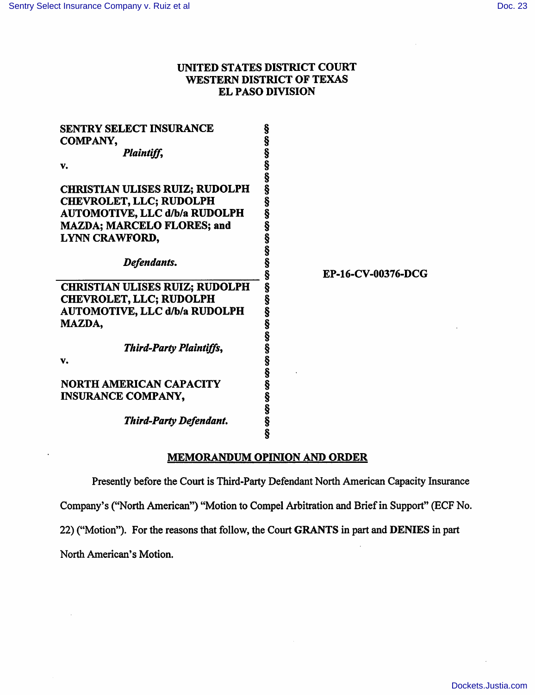# UNITED STATES DISTRICT COURT WESTERN DISTRICT OF TEXAS EL PASO DIVISION

| <b>SENTRY SELECT INSURANCE</b>        |                    |
|---------------------------------------|--------------------|
| <b>COMPANY,</b>                       |                    |
| Plaintiff,                            |                    |
| v.                                    |                    |
|                                       |                    |
| <b>CHRISTIAN ULISES RUIZ; RUDOLPH</b> |                    |
| <b>CHEVROLET, LLC; RUDOLPH</b>        |                    |
| <b>AUTOMOTIVE, LLC d/b/a RUDOLPH</b>  |                    |
| <b>MAZDA; MARCELO FLORES; and</b>     |                    |
| LYNN CRAWFORD,                        |                    |
|                                       |                    |
| Defendants.                           |                    |
|                                       | EP-16-CV-00376-DCG |
| <b>CHRISTIAN ULISES RUIZ; RUDOLPH</b> |                    |
|                                       |                    |
|                                       |                    |
| <b>CHEVROLET, LLC; RUDOLPH</b>        |                    |
| <b>AUTOMOTIVE, LLC d/b/a RUDOLPH</b>  |                    |
| MAZDA,                                |                    |
|                                       |                    |
| <b>Third-Party Plaintiffs,</b>        |                    |
| v.                                    |                    |
|                                       |                    |
| <b>NORTH AMERICAN CAPACITY</b>        |                    |
| <b>INSURANCE COMPANY,</b>             |                    |
|                                       |                    |
| <b>Third-Party Defendant.</b>         |                    |

# MEMORANDUM OPINION AND ORDER

Presently before the Court is Third-Party Defendant North American Capacity Insurance

Company's ("North American") "Motion to Compel Arbitration and Brief in Support" (ECF No.

22) ("Motion"). For the reasons that follow, the Court GRANTS in part and DENIES in part

North American's Motion.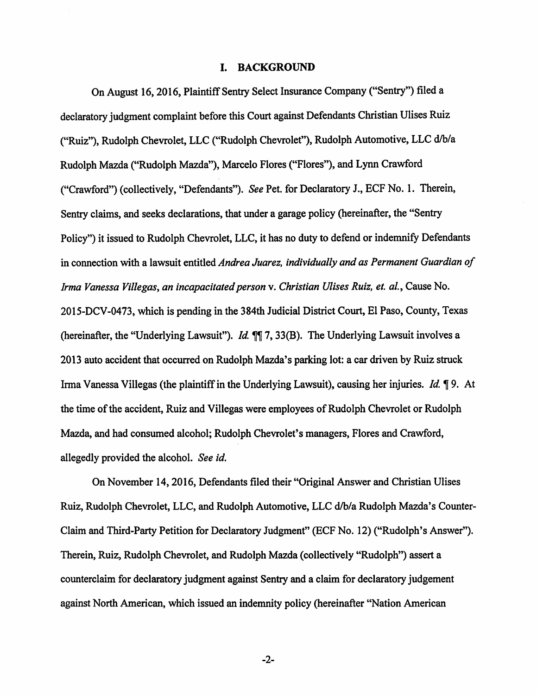### I. BACKGROUND

On August 16, 2016, Plaintiff Sentry Select Insurance Company ("Sentry") filed a declaratory judgment complaint before this Court against Defendants Christian Ulises Ruiz ("Ruiz"), Rudolph Chevrolet, LLC ("Rudolph Chevrolet"), Rudolph Automotive, LLC d/b/a Rudolph Mazda ("Rudolph Mazda"), Marcelo Flores ("Flores"), and Lynn Crawford ("Crawford") (collectively, "Defendants"). *See* Pet. for Declaratory J., ECF No. 1. Therein, Sentry claims, and seeks declarations, that under a garage policy (hereinafter, the "Sentry Policy") it issued to Rudolph Chevrolet, LLC, it has no duty to defend or indemnify Defendants in connection with a lawsuit entitled *Andrea Juarez, individually and as Permanent Guardian of Irma Vanessa Villegas, an incapacitated person* v. *Christian Ulises Ruiz, et. a/.,* Cause No. 2015-DCV-0473, which is pending in the 384th Judicial District Court, El Paso, County, Texas (hereinafter, the "Underlying Lawsuit"). *ld* 7, 33(B). The Underlying Lawsuit involves a 2013 auto accident that occurred on Rudolph Mazda's parking lot: a car driven by Ruiz struck Irma Vanessa Villegas (the plaintiff in the Underlying Lawsuit), causing her injuries. *Id.* 19. At the time of the accident, Ruiz and Villegas were employees of Rudolph Chevrolet or Rudolph Mazda, and had consumed alcohol; Rudolph Chevrolet's managers, Flores and Crawford, allegedly provided the alcohol. *See id.* 

On November 14,2016, Defendants filed their "Original Answer and Christian Ulises Ruiz, Rudolph Chevrolet, LLC, and Rudolph Automotive, LLC d/b/a Rudolph Mazda's Counter-Claim and Third-Party Petition for Declaratory Judgment" (ECF No. 12) ("Rudolph's Answer"). Therein, Ruiz, Rudolph Chevrolet, and Rudolph Mazda (collectively "Rudolph") assert a counterclaim for declaratory judgment against Sentry and a claim for declaratory judgement against North American, which issued an indemnity policy (hereinafter "Nation American

-2-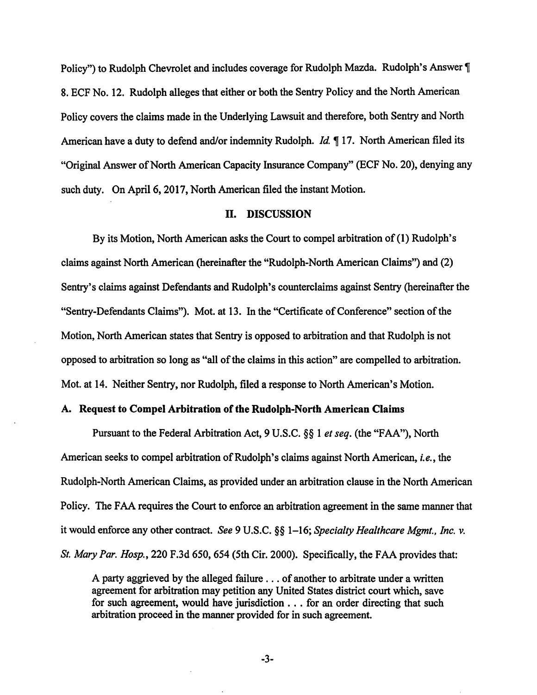Policy") to Rudolph Chevrolet and includes coverage for Rudolph Mazda. Rudolph's Answer [ 8. ECF No. 12. Rudolph alleges that either or both the Sentry Policy and the North American Policy covers the claims made in the Underlying Lawsuit and therefore, both Sentry and North American have a duty to defend and/or indemnity Rudolph. *Id.* 17. North American filed its "Original Answer of North American Capacity Insurance Company" (ECF No. 20), denying any such duty. On April 6, 2017, North American filed the instant Motion.

### II. DISCUSSION

By its Motion, North American asks the Court to compel arbitration of(l) Rudolph's claims against North American (hereinafter the "Rudolph-North American Claims") and (2) Sentry's claims against Defendants and Rudolph's counterclaims against Sentry (hereinafter the "Sentry-Defendants Claims"). Mot. at 13. In the "Certificate of Conference" section of the Motion, North American states that Sentry is opposed to arbitration and that Rudolph is not opposed to arbitration so long as "all of the claims in this action" are compelled to arbitration. Mot. at 14. Neither Sentry, nor Rudolph, filed a response to North American's Motion.

## A. Request to Compel Arbitration of the Rudolph-North American Claims

Pursuant to the Federal Arbitration Act, 9 U.S.C. §§ 1 *et seq.* (the "FAA"), North American seeks to compel arbitration of Rudolph's claims against North American, *i.e.,* the Rudolph-North American Claims, as provided under an arbitration clause in the North American Policy. The FAA requires the Court to enforce an arbitration agreement in the same manner that it would enforce any other contract. *See* 9 U.S.C. §§ 1-16; *Specialty Healthcare Mgmt., Inc. v. St. Mary Par. Hosp.,* 220 F.3d 650, 654 (5th Cir. 2000). Specifically, the FAA provides that:

A party aggrieved by the alleged failure ... of another to arbitrate under a written agreement for arbitration may petition any United States district court which, save for such agreement, would have jurisdiction . . . for an order directing that such arbitration proceed in the manner provided for in such agreement.

-3-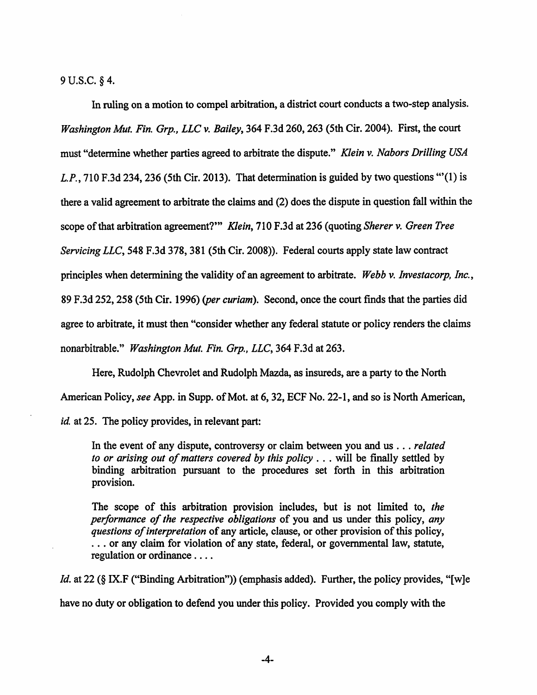9 u.s.c. § 4.

In ruling on a motion to compel arbitration, a district court conducts a two-step analysis. *Washington Mut. Fin. Grp., LLC v. Bailey,* 364 F.3d 260, 263 (5th Cir. 2004). First, the court must "determine whether parties agreed to arbitrate the dispute." *Klein v. Nabors Drilling USA*  L.P., 710 F.3d 234, 236 (5th Cir. 2013). That determination is guided by two questions  $\cdot$  (1) is there a valid agreement to arbitrate the claims and (2) does the dispute in question fall within the scope of that arbitration agreement?"' *Klein,* 710 F.3d at 236 (quoting *Sherer v. Green Tree Servicing LLC,* 548 F.3d 378, 381 (5th Cir. 2008)). Federal courts apply state law contract principles when determining the validity of an agreement to arbitrate. *Webb v. Investacorp, Inc.,*  89 F.3d 252,258 (5th Cir. 1996) *(per curiam).* Second, once the court finds that the parties did agree to arbitrate, it must then "consider whether any federal statute or policy renders the claims nonarbitrable." *Washington Mut. Fin. Grp., LLC,* 364 F.3d at 263.

Here, Rudolph Chevrolet and Rudolph Mazda, as insureds, are a party to the North American Policy, *see* App. in Supp. of Mot. at 6, 32, ECF No. 22-1, and so is North American, *id.* at 25. The policy provides, in relevant part:

In the event of any dispute, controversy or claim between you and us ... *related to or arising out of matters covered by this policy* . . . will be finally settled by binding arbitration pursuant to the procedures set forth in this arbitration provision.

The scope of this arbitration provision includes, but is not limited to, *the performance of the respective obligations* of you and us under this policy, *any questions of interpretation* of any article, clause, or other provision of this policy, ... or any claim for violation of any state, federal, or governmental law, statute, regulation or ordinance ....

*ld.* at 22 (§ IX.F ("Binding Arbitration")) (emphasis added). Further, the policy provides, "[w]e have no duty or obligation to defend you under this policy. Provided you comply with the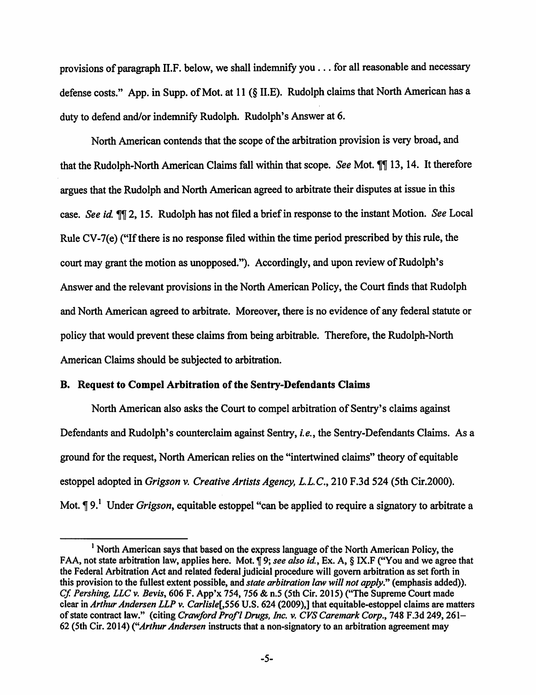provisions of paragraph II.F. below, we shall indemnify you ... for all reasonable and necessary defense costs." App. in Supp. of Mot. at 11 (§ II.E). Rudolph claims that North American has a duty to defend and/or indemnify Rudolph. Rudolph's Answer at 6.

North American contends that the scope of the arbitration provision is very broad, and that the Rudolph-North American Claims fall within that scope. *See* Mot. 11 13, 14. It therefore argues that the Rudolph and North American agreed to arbitrate their disputes at issue in this case. *See id* 2, 15. Rudolph has not filed a brief in response to the instant Motion. *See* Local Rule CV-7(e) ("If there is no response filed within the time period prescribed by this rule, the court may grant the motion as unopposed."). Accordingly, and upon review of Rudolph's Answer and the relevant provisions in the North American Policy, the Court finds that Rudolph and North American agreed to arbitrate. Moreover, there is no evidence of any federal statute or policy that would prevent these claims from being arbitrable. Therefore, the Rudolph-North American Claims should be subjected to arbitration.

## B. Request to Compel Arbitration of the Sentry-Defendants Claims

North American also asks the Court to compel arbitration of Sentry's claims against Defendants and Rudolph's counterclaim against Sentry, *i.e.,* the Sentry-Defendants Claims. As a ground for the request, North American relies on the "intertwined claims" theory of equitable estoppel adopted in *Grigson v. Creative Artists Agency, L.L.C.,* 210 F.3d 524 (5th Cir.2000). Mot. ¶ 9.<sup>1</sup> Under *Grigson*, equitable estoppel "can be applied to require a signatory to arbitrate a

<sup>&</sup>lt;sup>1</sup> North American says that based on the express language of the North American Policy, the FAA, not state arbitration law, applies here. Mot. **1**9; *see also id.*, Ex. A, § IX.F ("You and we agree that the Federal Arbitration Act and related federal judicial procedure will govern arbitration as set forth in this provision to the fullest extent possible, and *state arbitration law will not apply."* (emphasis added)). *Cf. Pershing, LLC v. Bevis, 606 F. App'x 754, 756 & n.5 (5th Cir. 2015)* ("The Supreme Court made clear in *Arthur Andersen LLP v. Carlisle[,556* U.S. 624 (2009),] that equitable-estoppel claims are matters of state contract law." (citing *Crawford Prof'l Drugs, Inc. v. CVS Caremark Corp.*, 748 F.3d 249, 261-62 (5th Cir. 2014) *("Arthur Andersen* instructs that a non-signatory to an arbitration agreement may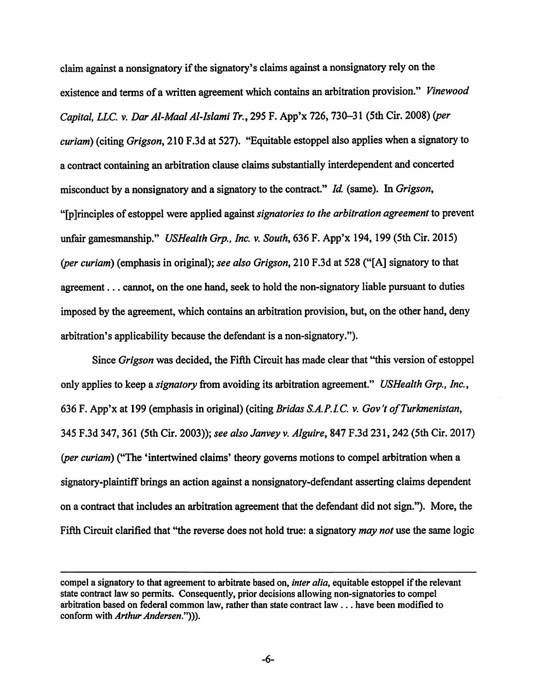claim against a nonsignatory if the signatory's claims against a nonsignatory rely on the existence and terms of a written agreement which contains an arbitration provision." *Vinewood Capital, LLC. v. Dar Al-Maal Al-Islami Tr.,* 295 F. App'x 726, 730-31 (5th Cir. 2008) *(per curiam*) (citing *Grigson*, 210 F.3d at 527). "Equitable estoppel also applies when a signatory to a contract containing an arbitration clause claims substantially interdependent and concerted misconduct by a nonsignatory and a signatory to the contract." *Id.* (same). In *Grigson*, "[p ]rinciples of estoppel applied against *signatories to the arbitration agreement* to prevent unfair gamesmanship." *USHealth Grp., Inc. v. South,* 636 F. App'x 194, 199 (5th Cir. 2015) *(per curiam)* (emphasis in original); *see also Grigson,* 210 F.3d at 528 ("[A] signatory to that agreement ... cannot, on the one hand, seek to hold the non-signatory liable pursuant to duties imposed by the agreement, which contains an arbitration provision, but, on the other hand, deny arbitration's applicability because the defendant is a non-signatory.").

Since *Grigson* was decided, the Fifth Circuit has made clear that "this version of estoppel only applies to keep a *signatory* from avoiding its arbitration agreement." *USHealth Grp., Inc.,*  636 F. App'x at 199 (emphasis in original) (citing *Bridas S.A.P.LC. v. Gov't ofTurkmenistan,*  345 F.3d 347, 361 (5th Cir. 2003)); *see also Janvey v. Alguire, 841* F.3d 231, 242 (5th Cir. 2017) *(per curiam)* ("The 'intertwined claims' theory governs motions to compel arbitration when a signatory-plaintiff brings an action against a nonsignatory-defendant asserting claims dependent on a contract that includes an arbitration agreement that the defendant did not sign."). More, the Fifth Circuit clarified that "the reverse does not hold true: a signatory may *not* use the same logic

compel a signatory to that agreement to arbitrate based on, *inter alia,* equitable estoppel if the relevant state contract law so permits. Consequently, prior decisions allowing non-signatories to compel arbitration based on federal common law, rather than state contract law ... have been modified to conform with *Arthur Andersen."))).*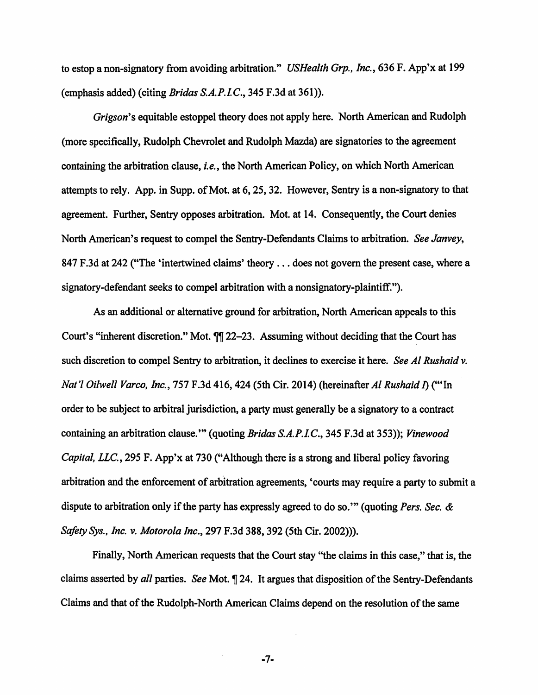to estop a non-signatory from avoiding arbitration." *USHealth Grp., Inc.,* 636 F. App'x at 199 (emphasis added) (citing *Bridas S.A.P.LC.,* 345 F.3d at 361)).

*Grigson's* equitable estoppel theory does not apply here. North American and Rudolph (more specifically, Rudolph Chevrolet and Rudolph Mazda) are signatories to the agreement containing the arbitration clause, *i.e.,* the North American Policy, on which North American attempts to rely. App. in Supp. of Mot. at 6, 25, 32. However, Sentry is a non-signatory to that agreement. Further, Sentry opposes arbitration. Mot. at 14. Consequently, the Court denies North American's request to compel the Sentry-Defendants Claims to arbitration. *See Janvey,*  847 F.3d at 242 ("The 'intertwined claims' theory ... does not govern the present case, where a signatory-defendant seeks to compel arbitration with a nonsignatory-plaintiff. ").

As an additional or alternative ground for arbitration, North American appeals to this Court's "inherent discretion." Mot.  $\P$ [22–23. Assuming without deciding that the Court has such discretion to compel Sentry to arbitration, it declines to exercise it here. *See AI Rushaid v. Nat'/ Oilwell Varco, Inc., 151* F.3d 416,424 (5th Cir. 2014) (hereinafter *AI Rushaid* I) ("'In order to be subject to arbitral jurisdiction, a party must generally be a signatory to a contract containing an arbitration clause.'" (quoting *Bridas S.A.P.LC.,* 345 F.3d at 353)); *Vinewood Capital, LLC.,* 295 F. App'x at 730 ("Although there is a strong and liberal policy favoring arbitration and the enforcement of arbitration agreements, 'courts may require a party to submit a dispute to arbitration only if the party has expressly agreed to do so."' (quoting *Pers. Sec.* & *Safoty Sys., Inc. v. Motorola Inc., 291* F.3d 388, 392 (5th Cir. 2002))).

Finally, North American requests that the Court stay "the claims in this case," that is, the claims asserted by *all* parties. *See* Mot. 124. It argues that disposition of the Sentry-Defendants Claims and that of the Rudolph-North American Claims depend on the resolution of the same

-7-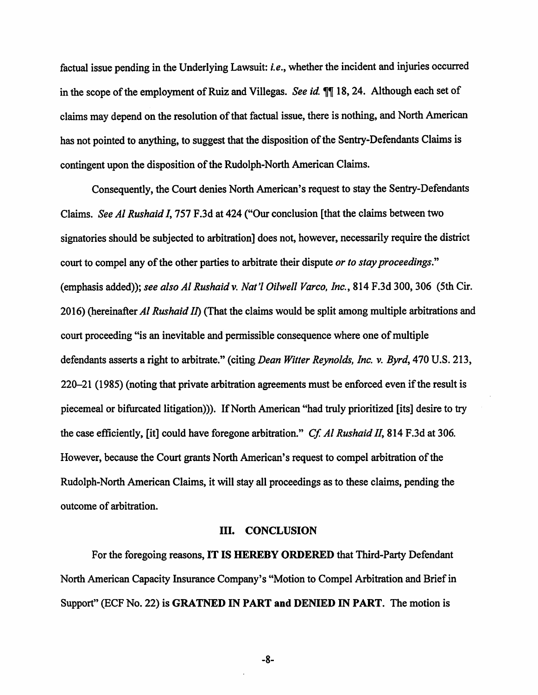factual issue pending in the Underlying Lawsuit: *i.e.,* whether the incident and injuries occurred in the scope of the employment of Ruiz and Villegas. *See id* 18, 24. Although each set of claims may depend on the resolution of that factual issue, there is nothing, and North American has not pointed to anything, to suggest that the disposition of the Sentry-Defendants Claims is contingent upon the disposition of the Rudolph-North American Claims.

Consequently, the Court denies North American's request to stay the Sentry-Defendants Claims. *See* AI *Rushaid I,* 757 F.3d at 424 ("Our conclusion [that the claims between two signatories should be subjected to arbitration] does not, however, necessarily require the district court to compel any of the other parties to arbitrate their dispute *or to stay proceedings."*  (emphasis added)); *see also* AI *Rushaidv. Nat'/ Oilwell Varco, Inc.,* 814 F.3d 300,306 (5th Cir. 20 16) (hereinafter AI *Rushaid II)* (That the claims would be split among multiple arbitrations and court proceeding "is an inevitable and permissible consequence where one of multiple defendants asserts a right to arbitrate." (citing *Dean Witter Reynolds, Inc.* v. *Byrd, 410* U.S. 213, 220-21 (1985) (noting that private arbitration agreements must be enforced even if the result is piecemeal or bifurcated litigation))). If North American "had truly prioritized [its] desire to try the case efficiently, [it] could have foregone arbitration." *Cf.* AI *Rushaid II,* 814 F.3d at 306. However, because the Court grants North American's request to compel arbitration of the Rudolph-North American Claims, it will stay all proceedings as to these claims, pending the outcome of arbitration.

### III. CONCLUSION

For the foregoing reasons, IT IS HEREBY ORDERED that Third-Party Defendant North American Capacity Insurance Company's "Motion to Compel Arbitration and Brief in Support" (ECF No. 22) is GRATNED IN PART and DENIED IN PART. The motion is

-8-